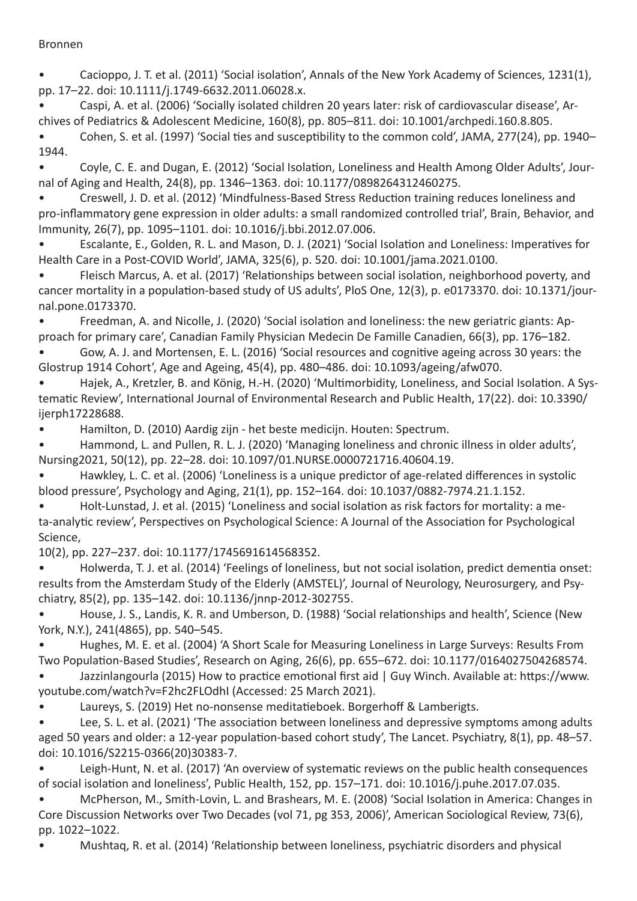## Bronnen

Cacioppo, J. T. et al. (2011) 'Social isolation', Annals of the New York Academy of Sciences, 1231(1), pp. 17–22. doi: 10.1111/j.1749-6632.2011.06028.x.

Caspi, A. et al. (2006) 'Socially isolated children 20 years later: risk of cardiovascular disease', Archives of Pediatrics & Adolescent Medicine, 160(8), pp. 805–811. doi: 10.1001/archpedi.160.8.805.

Cohen, S. et al. (1997) 'Social ties and susceptibility to the common cold', JAMA, 277(24), pp. 1940– 1944.

Coyle, C. E. and Dugan, E. (2012) 'Social Isolation, Loneliness and Health Among Older Adults', Journal of Aging and Health, 24(8), pp. 1346–1363. doi: 10.1177/0898264312460275.

Creswell, J. D. et al. (2012) 'Mindfulness-Based Stress Reduction training reduces loneliness and pro-inflammatory gene expression in older adults: a small randomized controlled trial', Brain, Behavior, and Immunity, 26(7), pp. 1095–1101. doi: 10.1016/j.bbi.2012.07.006.

Escalante, E., Golden, R. L. and Mason, D. J. (2021) 'Social Isolation and Loneliness: Imperatives for Health Care in a Post-COVID World', JAMA, 325(6), p. 520. doi: 10.1001/jama.2021.0100.

Fleisch Marcus, A. et al. (2017) 'Relationships between social isolation, neighborhood poverty, and cancer mortality in a population-based study of US adults', PloS One, 12(3), p. e0173370. doi: 10.1371/journal.pone.0173370.

Freedman, A. and Nicolle, J. (2020) 'Social isolation and loneliness: the new geriatric giants: Approach for primary care', Canadian Family Physician Medecin De Famille Canadien, 66(3), pp. 176–182.

Gow, A. J. and Mortensen, E. L. (2016) 'Social resources and cognitive ageing across 30 years: the Glostrup 1914 Cohort', Age and Ageing, 45(4), pp. 480–486. doi: 10.1093/ageing/afw070.

Hajek, A., Kretzler, B. and König, H.-H. (2020) 'Multimorbidity, Loneliness, and Social Isolation. A Systematic Review', International Journal of Environmental Research and Public Health, 17(22). doi: 10.3390/ ijerph17228688.

Hamilton, D. (2010) Aardig zijn - het beste medicijn. Houten: Spectrum.

Hammond, L. and Pullen, R. L. J. (2020) 'Managing loneliness and chronic illness in older adults', Nursing2021, 50(12), pp. 22–28. doi: 10.1097/01.NURSE.0000721716.40604.19.

Hawkley, L. C. et al. (2006) 'Loneliness is a unique predictor of age-related differences in systolic blood pressure', Psychology and Aging, 21(1), pp. 152–164. doi: 10.1037/0882-7974.21.1.152.

Holt-Lunstad, J. et al. (2015) 'Loneliness and social isolation as risk factors for mortality: a meta-analytic review', Perspectives on Psychological Science: A Journal of the Association for Psychological Science,

## 10(2), pp. 227–237. doi: 10.1177/1745691614568352.

Holwerda, T. J. et al. (2014) 'Feelings of loneliness, but not social isolation, predict dementia onset: results from the Amsterdam Study of the Elderly (AMSTEL)', Journal of Neurology, Neurosurgery, and Psychiatry, 85(2), pp. 135–142. doi: 10.1136/jnnp-2012-302755.

House, J. S., Landis, K. R. and Umberson, D. (1988) 'Social relationships and health', Science (New York, N.Y.), 241(4865), pp. 540–545.

Hughes, M. E. et al. (2004) 'A Short Scale for Measuring Loneliness in Large Surveys: Results From Two Population-Based Studies', Research on Aging, 26(6), pp. 655–672. doi: 10.1177/0164027504268574.

Jazzinlangourla (2015) How to practice emotional first aid | Guy Winch. Available at: https://www. youtube.com/watch?v=F2hc2FLOdhI (Accessed: 25 March 2021).

Laureys, S. (2019) Het no-nonsense meditatieboek. Borgerhoff & Lamberigts.

Lee, S. L. et al. (2021) 'The association between loneliness and depressive symptoms among adults aged 50 years and older: a 12-year population-based cohort study', The Lancet. Psychiatry, 8(1), pp. 48–57. doi: 10.1016/S2215-0366(20)30383-7.

Leigh-Hunt, N. et al. (2017) 'An overview of systematic reviews on the public health consequences of social isolation and loneliness', Public Health, 152, pp. 157–171. doi: 10.1016/j.puhe.2017.07.035.

McPherson, M., Smith-Lovin, L. and Brashears, M. E. (2008) 'Social Isolation in America: Changes in Core Discussion Networks over Two Decades (vol 71, pg 353, 2006)', American Sociological Review, 73(6), pp. 1022–1022.

Mushtaq, R. et al. (2014) 'Relationship between loneliness, psychiatric disorders and physical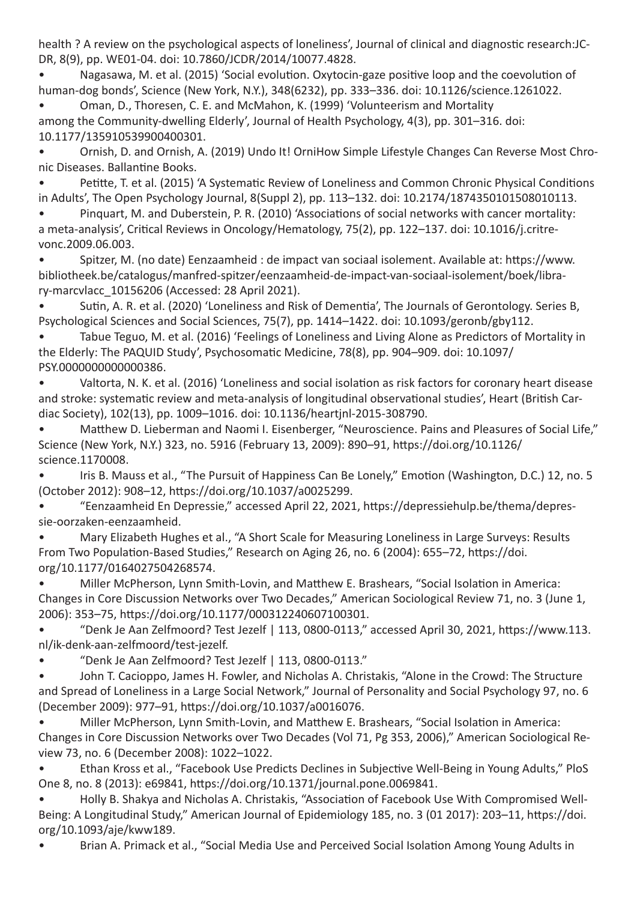health ? A review on the psychological aspects of loneliness', Journal of clinical and diagnostic research:JC-DR, 8(9), pp. WE01-04. doi: 10.7860/JCDR/2014/10077.4828.

Nagasawa, M. et al. (2015) 'Social evolution. Oxytocin-gaze positive loop and the coevolution of human-dog bonds', Science (New York, N.Y.), 348(6232), pp. 333–336. doi: 10.1126/science.1261022.

Oman, D., Thoresen, C. E. and McMahon, K. (1999) 'Volunteerism and Mortality among the Community-dwelling Elderly', Journal of Health Psychology, 4(3), pp. 301–316. doi: 10.1177/135910539900400301.

• Ornish, D. and Ornish, A. (2019) Undo It! OrniHow Simple Lifestyle Changes Can Reverse Most Chronic Diseases. Ballantine Books.

Petitte, T. et al. (2015) 'A Systematic Review of Loneliness and Common Chronic Physical Conditions in Adults', The Open Psychology Journal, 8(Suppl 2), pp. 113–132. doi: 10.2174/1874350101508010113.

Pinquart, M. and Duberstein, P. R. (2010) 'Associations of social networks with cancer mortality: a meta-analysis', Critical Reviews in Oncology/Hematology, 75(2), pp. 122–137. doi: 10.1016/j.critrevonc.2009.06.003.

Spitzer, M. (no date) Eenzaamheid : de impact van sociaal isolement. Available at: https://www. bibliotheek.be/catalogus/manfred-spitzer/eenzaamheid-de-impact-van-sociaal-isolement/boek/library-marcvlacc\_10156206 (Accessed: 28 April 2021).

Sutin, A. R. et al. (2020) 'Loneliness and Risk of Dementia', The Journals of Gerontology. Series B, Psychological Sciences and Social Sciences, 75(7), pp. 1414–1422. doi: 10.1093/geronb/gby112.

Tabue Teguo, M. et al. (2016) 'Feelings of Loneliness and Living Alone as Predictors of Mortality in the Elderly: The PAQUID Study', Psychosomatic Medicine, 78(8), pp. 904–909. doi: 10.1097/ PSY.0000000000000386.

Valtorta, N. K. et al. (2016) 'Loneliness and social isolation as risk factors for coronary heart disease and stroke: systematic review and meta-analysis of longitudinal observational studies', Heart (British Cardiac Society), 102(13), pp. 1009–1016. doi: 10.1136/heartjnl-2015-308790.

Matthew D. Lieberman and Naomi I. Eisenberger, "Neuroscience. Pains and Pleasures of Social Life," Science (New York, N.Y.) 323, no. 5916 (February 13, 2009): 890–91, https://doi.org/10.1126/ science.1170008.

Iris B. Mauss et al., "The Pursuit of Happiness Can Be Lonely," Emotion (Washington, D.C.) 12, no. 5 (October 2012): 908–12, https://doi.org/10.1037/a0025299.

• "Eenzaamheid En Depressie," accessed April 22, 2021, https://depressiehulp.be/thema/depressie-oorzaken-eenzaamheid.

Mary Elizabeth Hughes et al., "A Short Scale for Measuring Loneliness in Large Surveys: Results From Two Population-Based Studies," Research on Aging 26, no. 6 (2004): 655–72, https://doi. org/10.1177/0164027504268574.

• Miller McPherson, Lynn Smith-Lovin, and Matthew E. Brashears, "Social Isolation in America: Changes in Core Discussion Networks over Two Decades," American Sociological Review 71, no. 3 (June 1, 2006): 353–75, https://doi.org/10.1177/000312240607100301.

• "Denk Je Aan Zelfmoord? Test Jezelf | 113, 0800-0113," accessed April 30, 2021, https://www.113. nl/ik-denk-aan-zelfmoord/test-jezelf.

"Denk Je Aan Zelfmoord? Test Jezelf | 113, 0800-0113."

John T. Cacioppo, James H. Fowler, and Nicholas A. Christakis, "Alone in the Crowd: The Structure and Spread of Loneliness in a Large Social Network," Journal of Personality and Social Psychology 97, no. 6 (December 2009): 977–91, https://doi.org/10.1037/a0016076.

Miller McPherson, Lynn Smith-Lovin, and Matthew E. Brashears, "Social Isolation in America: Changes in Core Discussion Networks over Two Decades (Vol 71, Pg 353, 2006)," American Sociological Review 73, no. 6 (December 2008): 1022–1022.

Ethan Kross et al., "Facebook Use Predicts Declines in Subjective Well-Being in Young Adults," PloS One 8, no. 8 (2013): e69841, https://doi.org/10.1371/journal.pone.0069841.

Holly B. Shakya and Nicholas A. Christakis, "Association of Facebook Use With Compromised Well-Being: A Longitudinal Study," American Journal of Epidemiology 185, no. 3 (01 2017): 203–11, https://doi. org/10.1093/aje/kww189.

Brian A. Primack et al., "Social Media Use and Perceived Social Isolation Among Young Adults in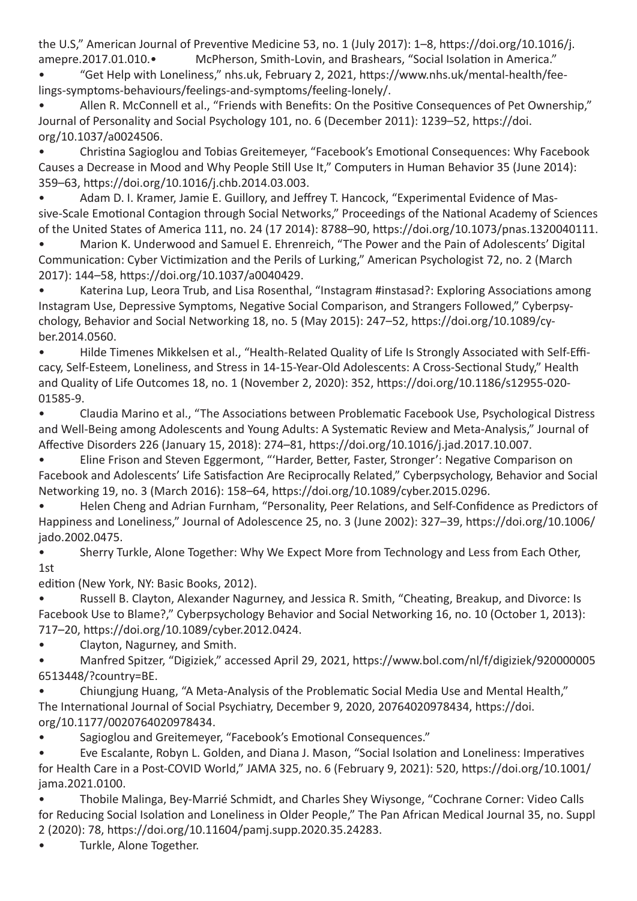the U.S," American Journal of Preventive Medicine 53, no. 1 (July 2017): 1–8, https://doi.org/10.1016/j. amepre.2017.01.010.• McPherson, Smith-Lovin, and Brashears, "Social Isolation in America."

• "Get Help with Loneliness," nhs.uk, February 2, 2021, https://www.nhs.uk/mental-health/feelings-symptoms-behaviours/feelings-and-symptoms/feeling-lonely/.

Allen R. McConnell et al., "Friends with Benefits: On the Positive Consequences of Pet Ownership," Journal of Personality and Social Psychology 101, no. 6 (December 2011): 1239–52, https://doi. org/10.1037/a0024506.

Christina Sagioglou and Tobias Greitemeyer, "Facebook's Emotional Consequences: Why Facebook Causes a Decrease in Mood and Why People Still Use It," Computers in Human Behavior 35 (June 2014): 359–63, https://doi.org/10.1016/j.chb.2014.03.003.

Adam D. I. Kramer, Jamie E. Guillory, and Jeffrey T. Hancock, "Experimental Evidence of Massive-Scale Emotional Contagion through Social Networks," Proceedings of the National Academy of Sciences of the United States of America 111, no. 24 (17 2014): 8788–90, https://doi.org/10.1073/pnas.1320040111.

Marion K. Underwood and Samuel E. Ehrenreich, "The Power and the Pain of Adolescents' Digital Communication: Cyber Victimization and the Perils of Lurking," American Psychologist 72, no. 2 (March 2017): 144–58, https://doi.org/10.1037/a0040429.

Katerina Lup, Leora Trub, and Lisa Rosenthal, "Instagram #instasad?: Exploring Associations among Instagram Use, Depressive Symptoms, Negative Social Comparison, and Strangers Followed," Cyberpsychology, Behavior and Social Networking 18, no. 5 (May 2015): 247–52, https://doi.org/10.1089/cyber.2014.0560.

Hilde Timenes Mikkelsen et al., "Health-Related Quality of Life Is Strongly Associated with Self-Efficacy, Self-Esteem, Loneliness, and Stress in 14-15-Year-Old Adolescents: A Cross-Sectional Study," Health and Quality of Life Outcomes 18, no. 1 (November 2, 2020): 352, https://doi.org/10.1186/s12955-020- 01585-9.

Claudia Marino et al., "The Associations between Problematic Facebook Use, Psychological Distress and Well-Being among Adolescents and Young Adults: A Systematic Review and Meta-Analysis," Journal of Affective Disorders 226 (January 15, 2018): 274–81, https://doi.org/10.1016/j.jad.2017.10.007.

Eline Frison and Steven Eggermont, "'Harder, Better, Faster, Stronger': Negative Comparison on Facebook and Adolescents' Life Satisfaction Are Reciprocally Related," Cyberpsychology, Behavior and Social Networking 19, no. 3 (March 2016): 158–64, https://doi.org/10.1089/cyber.2015.0296.

Helen Cheng and Adrian Furnham, "Personality, Peer Relations, and Self-Confidence as Predictors of Happiness and Loneliness," Journal of Adolescence 25, no. 3 (June 2002): 327–39, https://doi.org/10.1006/ jado.2002.0475.

• Sherry Turkle, Alone Together: Why We Expect More from Technology and Less from Each Other, 1st

edition (New York, NY: Basic Books, 2012).

Russell B. Clayton, Alexander Nagurney, and Jessica R. Smith, "Cheating, Breakup, and Divorce: Is Facebook Use to Blame?," Cyberpsychology Behavior and Social Networking 16, no. 10 (October 1, 2013): 717–20, https://doi.org/10.1089/cyber.2012.0424.

• Clayton, Nagurney, and Smith.

Manfred Spitzer, "Digiziek," accessed April 29, 2021, https://www.bol.com/nl/f/digiziek/920000005 6513448/?country=BE.

Chiungjung Huang, "A Meta-Analysis of the Problematic Social Media Use and Mental Health," The International Journal of Social Psychiatry, December 9, 2020, 20764020978434, https://doi. org/10.1177/0020764020978434.

Sagioglou and Greitemeyer, "Facebook's Emotional Consequences."

Eve Escalante, Robyn L. Golden, and Diana J. Mason, "Social Isolation and Loneliness: Imperatives for Health Care in a Post-COVID World," JAMA 325, no. 6 (February 9, 2021): 520, https://doi.org/10.1001/ jama.2021.0100.

• Thobile Malinga, Bey-Marrié Schmidt, and Charles Shey Wiysonge, "Cochrane Corner: Video Calls for Reducing Social Isolation and Loneliness in Older People," The Pan African Medical Journal 35, no. Suppl 2 (2020): 78, https://doi.org/10.11604/pamj.supp.2020.35.24283.

Turkle, Alone Together.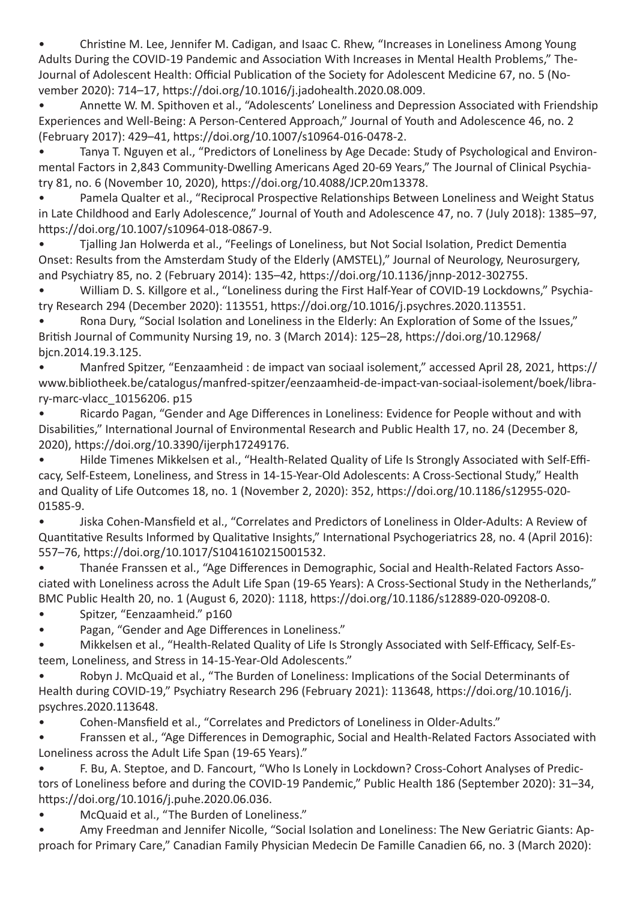Christine M. Lee, Jennifer M. Cadigan, and Isaac C. Rhew, "Increases in Loneliness Among Young Adults During the COVID-19 Pandemic and Association With Increases in Mental Health Problems," The-Journal of Adolescent Health: Official Publication of the Society for Adolescent Medicine 67, no. 5 (November 2020): 714–17, https://doi.org/10.1016/j.jadohealth.2020.08.009.

Annette W. M. Spithoven et al., "Adolescents' Loneliness and Depression Associated with Friendship Experiences and Well-Being: A Person-Centered Approach," Journal of Youth and Adolescence 46, no. 2 (February 2017): 429–41, https://doi.org/10.1007/s10964-016-0478-2.

• Tanya T. Nguyen et al., "Predictors of Loneliness by Age Decade: Study of Psychological and Environmental Factors in 2,843 Community-Dwelling Americans Aged 20-69 Years," The Journal of Clinical Psychiatry 81, no. 6 (November 10, 2020), https://doi.org/10.4088/JCP.20m13378.

Pamela Qualter et al., "Reciprocal Prospective Relationships Between Loneliness and Weight Status in Late Childhood and Early Adolescence," Journal of Youth and Adolescence 47, no. 7 (July 2018): 1385–97, https://doi.org/10.1007/s10964-018-0867-9.

Tjalling Jan Holwerda et al., "Feelings of Loneliness, but Not Social Isolation, Predict Dementia Onset: Results from the Amsterdam Study of the Elderly (AMSTEL)," Journal of Neurology, Neurosurgery, and Psychiatry 85, no. 2 (February 2014): 135–42, https://doi.org/10.1136/jnnp-2012-302755.

William D. S. Killgore et al., "Loneliness during the First Half-Year of COVID-19 Lockdowns," Psychiatry Research 294 (December 2020): 113551, https://doi.org/10.1016/j.psychres.2020.113551.

Rona Dury, "Social Isolation and Loneliness in the Elderly: An Exploration of Some of the Issues," British Journal of Community Nursing 19, no. 3 (March 2014): 125–28, https://doi.org/10.12968/ bjcn.2014.19.3.125.

• Manfred Spitzer, "Eenzaamheid : de impact van sociaal isolement," accessed April 28, 2021, https:// www.bibliotheek.be/catalogus/manfred-spitzer/eenzaamheid-de-impact-van-sociaal-isolement/boek/library-marc-vlacc\_10156206. p15

Ricardo Pagan, "Gender and Age Differences in Loneliness: Evidence for People without and with Disabilities," International Journal of Environmental Research and Public Health 17, no. 24 (December 8, 2020), https://doi.org/10.3390/ijerph17249176.

Hilde Timenes Mikkelsen et al., "Health-Related Quality of Life Is Strongly Associated with Self-Efficacy, Self-Esteem, Loneliness, and Stress in 14-15-Year-Old Adolescents: A Cross-Sectional Study," Health and Quality of Life Outcomes 18, no. 1 (November 2, 2020): 352, https://doi.org/10.1186/s12955-020- 01585-9.

Jiska Cohen-Mansfield et al., "Correlates and Predictors of Loneliness in Older-Adults: A Review of Quantitative Results Informed by Qualitative Insights," International Psychogeriatrics 28, no. 4 (April 2016): 557–76, https://doi.org/10.1017/S1041610215001532.

Thanée Franssen et al., "Age Differences in Demographic, Social and Health-Related Factors Associated with Loneliness across the Adult Life Span (19-65 Years): A Cross-Sectional Study in the Netherlands," BMC Public Health 20, no. 1 (August 6, 2020): 1118, https://doi.org/10.1186/s12889-020-09208-0.

Spitzer, "Eenzaamheid." p160

Pagan, "Gender and Age Differences in Loneliness."

Mikkelsen et al., "Health-Related Quality of Life Is Strongly Associated with Self-Efficacy, Self-Esteem, Loneliness, and Stress in 14-15-Year-Old Adolescents."

Robyn J. McQuaid et al., "The Burden of Loneliness: Implications of the Social Determinants of Health during COVID-19," Psychiatry Research 296 (February 2021): 113648, https://doi.org/10.1016/j. psychres.2020.113648.

Cohen-Mansfield et al., "Correlates and Predictors of Loneliness in Older-Adults."

Franssen et al., "Age Differences in Demographic, Social and Health-Related Factors Associated with Loneliness across the Adult Life Span (19-65 Years)."

F. Bu, A. Steptoe, and D. Fancourt, "Who Is Lonely in Lockdown? Cross-Cohort Analyses of Predictors of Loneliness before and during the COVID-19 Pandemic," Public Health 186 (September 2020): 31–34, https://doi.org/10.1016/j.puhe.2020.06.036.

McQuaid et al., "The Burden of Loneliness."

Amy Freedman and Jennifer Nicolle, "Social Isolation and Loneliness: The New Geriatric Giants: Approach for Primary Care," Canadian Family Physician Medecin De Famille Canadien 66, no. 3 (March 2020):